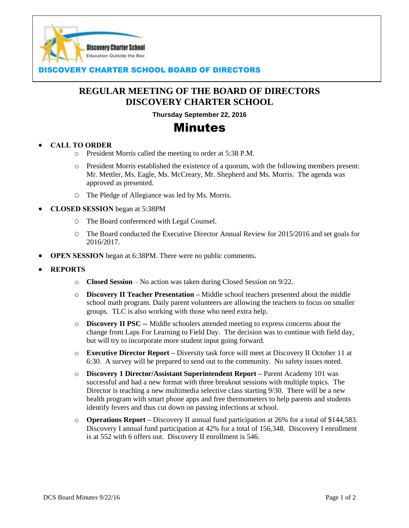

### **COVERY CHARTER SCHOOL BOARD OF DIRECTORS**

## **REGULAR MEETING OF THE BOARD OF DIRECTORS DISCOVERY CHARTER SCHOOL**

**Thursday September 22, 2016**

# Minutes

#### **CALL TO ORDER**

- o President Morris called the meeting to order at 5:38 P.M.
- o President Morris established the existence of a quorum, with the following members present: Mr. Mettler, Ms. Eagle, Ms. McCreary, Mr. Shepherd and Ms. Morris. The agenda was approved as presented.
- O The Pledge of Allegiance was led by Ms. Morris.
- **CLOSED SESSION** began at 5:38PM
	- O The Board conferenced with Legal Counsel.
	- O The Board conducted the Executive Director Annual Review for 2015/2016 and set goals for 2016/2017.
- **OPEN SESSION** began at 6:38PM. There were no public comments**.**
- **REPORTS**
	- o **Closed Session** No action was taken during Closed Session on 9/22.
	- o **Discovery II Teacher Presentation –** Middle school teachers presented about the middle school math program. Daily parent volunteers are allowing the teachers to focus on smaller groups. TLC is also working with those who need extra help.
	- o **Discovery II PSC --** Middle schoolers attended meeting to express concerns about the change from Laps For Learning to Field Day. The decision was to continue with field day, but will try to incorporate more student input going forward.
	- o **Executive Director Report –** Diversity task force will meet at Discovery II October 11 at 6:30. A survey will be prepared to send out to the community. No safety issues noted.
	- o **Discovery 1 Director/Assistant Superintendent Report –** Parent Academy 101 was successful and had a new format with three breakout sessions with multiple topics. The Director is teaching a new multimedia selective class starting 9/30. There will be a new health program with smart phone apps and free thermometers to help parents and students identify fevers and thus cut down on passing infections at school.
	- o **Operations Report –** Discovery II annual fund participation at 26% for a total of \$144,583. Discovery I annual fund participation at 42% for a total of 156,348. Discovery I enrollment is at 552 with 6 offers out. Discovery II enrollment is 546.